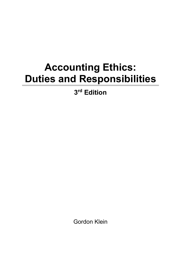## **Accounting Ethics: Duties and Responsibilities**

**3 rd Edition**

Gordon Klein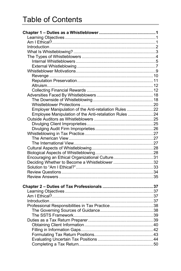## Table of Contents

| Employer Manipulation of the Anti-retaliation Rules 22 |  |
|--------------------------------------------------------|--|
| Employee Manipulation of the Anti-retaliation Rules 24 |  |
|                                                        |  |
|                                                        |  |
|                                                        |  |
|                                                        |  |
|                                                        |  |
|                                                        |  |
|                                                        |  |
|                                                        |  |
| Encouraging an Ethical Organizational Culture31        |  |
| Deciding Whether to Become a Whistleblower 32          |  |
|                                                        |  |
|                                                        |  |
|                                                        |  |
|                                                        |  |
|                                                        |  |
|                                                        |  |
|                                                        |  |
|                                                        |  |
|                                                        |  |
|                                                        |  |
|                                                        |  |
|                                                        |  |
|                                                        |  |
|                                                        |  |
|                                                        |  |
|                                                        |  |
|                                                        |  |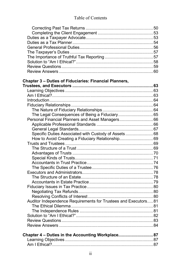## Table of Contents

| Chapter 3 - Duties of Fiduciaries: Financial Planners,         |  |
|----------------------------------------------------------------|--|
|                                                                |  |
|                                                                |  |
|                                                                |  |
|                                                                |  |
|                                                                |  |
|                                                                |  |
| The Legal Consequences of Being a Fiduciary65                  |  |
| Personal Financial Planners and Asset Managers66               |  |
|                                                                |  |
|                                                                |  |
| Specific Duties Associated with Custody of Assets68            |  |
| How to Avoid Creating a Fiduciary Relationship69               |  |
|                                                                |  |
|                                                                |  |
|                                                                |  |
|                                                                |  |
|                                                                |  |
|                                                                |  |
|                                                                |  |
|                                                                |  |
|                                                                |  |
|                                                                |  |
|                                                                |  |
|                                                                |  |
| Auditor Independence Requirements for Trustees and Executors81 |  |
|                                                                |  |
|                                                                |  |
|                                                                |  |
|                                                                |  |
|                                                                |  |
|                                                                |  |
| Chapter 4 - Duties in the Accounting Workplace 87              |  |
|                                                                |  |
|                                                                |  |
|                                                                |  |